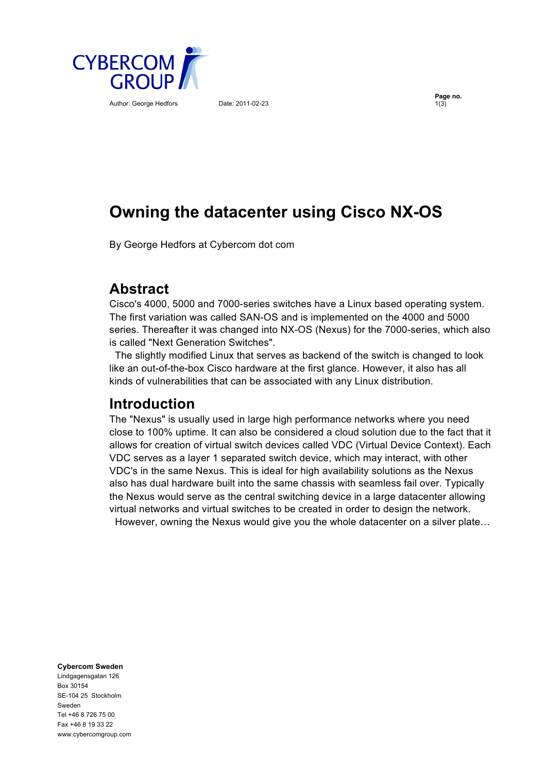

Author: George Hedfors Date: 2011-02-23

**Page no.**<br>1(3)

# **Owning the datacenter using Cisco NX-OS**

By George Hedfors at Cybercom dot com

### **Abstract**

Cisco's 4000, 5000 and 7000-series switches have a Linux based operating system. The first variation was called SAN-OS and is implemented on the 4000 and 5000 series. Thereafter it was changed into NX-OS (Nexus) for the 7000-series, which also is called "Next Generation Switches".

 The slightly modified Linux that serves as backend of the switch is changed to look like an out-of-the-box Cisco hardware at the first glance. However, it also has all kinds of vulnerabilities that can be associated with any Linux distribution.

### **Introduction**

The "Nexus" is usually used in large high performance networks where you need close to 100% uptime. It can also be considered a cloud solution due to the fact that it allows for creation of virtual switch devices called VDC (Virtual Device Context). Each VDC serves as a layer 1 separated switch device, which may interact, with other VDC's in the same Nexus. This is ideal for high availability solutions as the Nexus also has dual hardware built into the same chassis with seamless fail over. Typically the Nexus would serve as the central switching device in a large datacenter allowing virtual networks and virtual switches to be created in order to design the network. However, owning the Nexus would give you the whole datacenter on a silver plate…

**Cybercom Sweden**

Lindgagensgatan 126 Box 30154 SE-104 25 Stockholm Sweden Tel +46 8 726 75 00 Fax +46 8 19 33 22 www.cybercomgroup.com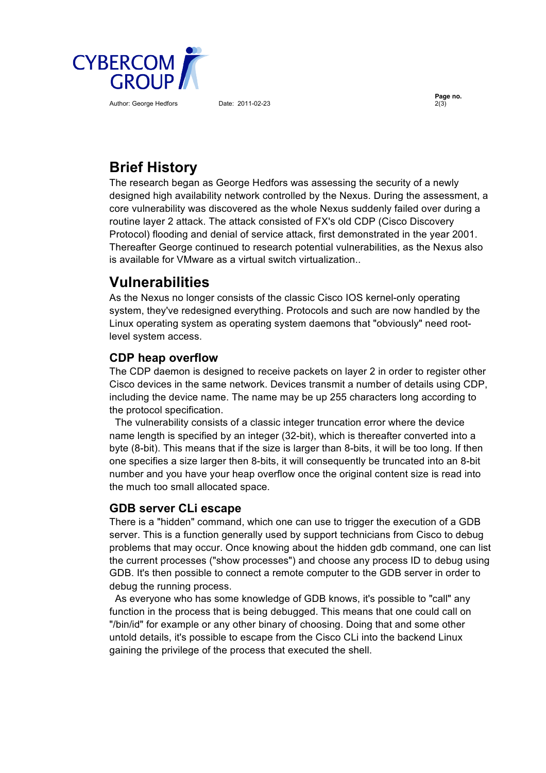

Author: George Hedfors Date: 2011-02-23

**Page no.**

## **Brief History**

The research began as George Hedfors was assessing the security of a newly designed high availability network controlled by the Nexus. During the assessment, a core vulnerability was discovered as the whole Nexus suddenly failed over during a routine layer 2 attack. The attack consisted of FX's old CDP (Cisco Discovery Protocol) flooding and denial of service attack, first demonstrated in the year 2001. Thereafter George continued to research potential vulnerabilities, as the Nexus also is available for VMware as a virtual switch virtualization..

### **Vulnerabilities**

As the Nexus no longer consists of the classic Cisco IOS kernel-only operating system, they've redesigned everything. Protocols and such are now handled by the Linux operating system as operating system daemons that "obviously" need rootlevel system access.

### **CDP heap overflow**

The CDP daemon is designed to receive packets on layer 2 in order to register other Cisco devices in the same network. Devices transmit a number of details using CDP, including the device name. The name may be up 255 characters long according to the protocol specification.

 The vulnerability consists of a classic integer truncation error where the device name length is specified by an integer (32-bit), which is thereafter converted into a byte (8-bit). This means that if the size is larger than 8-bits, it will be too long. If then one specifies a size larger then 8-bits, it will consequently be truncated into an 8-bit number and you have your heap overflow once the original content size is read into the much too small allocated space.

### **GDB server CLi escape**

There is a "hidden" command, which one can use to trigger the execution of a GDB server. This is a function generally used by support technicians from Cisco to debug problems that may occur. Once knowing about the hidden gdb command, one can list the current processes ("show processes") and choose any process ID to debug using GDB. It's then possible to connect a remote computer to the GDB server in order to debug the running process.

 As everyone who has some knowledge of GDB knows, it's possible to "call" any function in the process that is being debugged. This means that one could call on "/bin/id" for example or any other binary of choosing. Doing that and some other untold details, it's possible to escape from the Cisco CLi into the backend Linux gaining the privilege of the process that executed the shell.